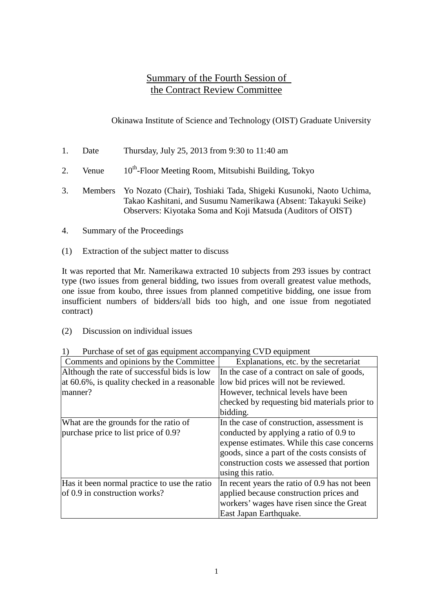### Summary of the Fourth Session of the Contract Review Committee

Okinawa Institute of Science and Technology (OIST) Graduate University

- 1. Date Thursday, July 25, 2013 from 9:30 to 11:40 am
- 2. Venue  $10^{th}$ -Floor Meeting Room, Mitsubishi Building, Tokyo
- 3. Members Yo Nozato (Chair), Toshiaki Tada, Shigeki Kusunoki, Naoto Uchima, Takao Kashitani, and Susumu Namerikawa (Absent: Takayuki Seike) Observers: Kiyotaka Soma and Koji Matsuda (Auditors of OIST)
- 4. Summary of the Proceedings
- (1) Extraction of the subject matter to discuss

It was reported that Mr. Namerikawa extracted 10 subjects from 293 issues by contract type (two issues from general bidding, two issues from overall greatest value methods, one issue from koubo, three issues from planned competitive bidding, one issue from insufficient numbers of bidders/all bids too high, and one issue from negotiated contract)

(2) Discussion on individual issues

| T urchase of set of gas equipment accompanying C vD equipment |                                               |
|---------------------------------------------------------------|-----------------------------------------------|
| Comments and opinions by the Committee                        | Explanations, etc. by the secretariat         |
| Although the rate of successful bids is low                   | In the case of a contract on sale of goods,   |
| at 60.6%, is quality checked in a reasonable                  | low bid prices will not be reviewed.          |
| manner?                                                       | However, technical levels have been           |
|                                                               | checked by requesting bid materials prior to  |
|                                                               | bidding.                                      |
| What are the grounds for the ratio of                         | In the case of construction, assessment is    |
| purchase price to list price of 0.9?                          | conducted by applying a ratio of 0.9 to       |
|                                                               | expense estimates. While this case concerns   |
|                                                               | goods, since a part of the costs consists of  |
|                                                               | construction costs we assessed that portion   |
|                                                               | using this ratio.                             |
| Has it been normal practice to use the ratio                  | In recent years the ratio of 0.9 has not been |
| of 0.9 in construction works?                                 | applied because construction prices and       |
|                                                               | workers' wages have risen since the Great     |
|                                                               | East Japan Earthquake.                        |

1) Purchase of set of gas equipment accompanying CVD equipment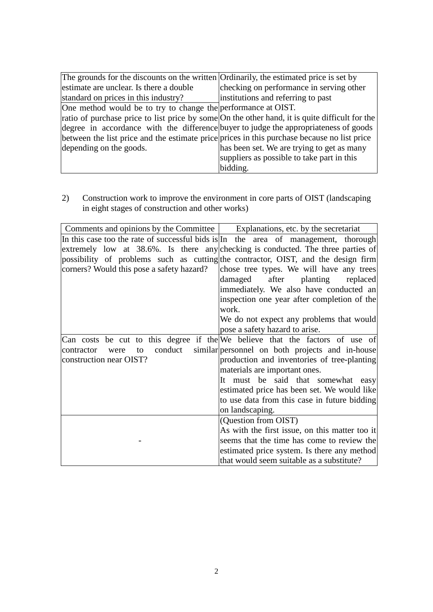| The grounds for the discounts on the written Ordinarily, the estimated price is set by         |                                            |
|------------------------------------------------------------------------------------------------|--------------------------------------------|
| estimate are unclear. Is there a double                                                        | checking on performance in serving other   |
| standard on prices in this industry?                                                           | institutions and referring to past         |
| One method would be to try to change the performance at OIST.                                  |                                            |
| ratio of purchase price to list price by some On the other hand, it is quite difficult for the |                                            |
| degree in accordance with the difference buyer to judge the appropriateness of goods           |                                            |
| between the list price and the estimate price prices in this purchase because no list price    |                                            |
| depending on the goods.                                                                        | has been set. We are trying to get as many |
|                                                                                                | suppliers as possible to take part in this |
|                                                                                                | bidding.                                   |

2) Construction work to improve the environment in core parts of OIST (landscaping in eight stages of construction and other works)

| Comments and opinions by the Committee                                       | Explanations, etc. by the secretariat                                               |
|------------------------------------------------------------------------------|-------------------------------------------------------------------------------------|
|                                                                              | In this case too the rate of successful bids is In the area of management, thorough |
|                                                                              | extremely low at 38.6%. Is there any checking is conducted. The three parties of    |
|                                                                              | possibility of problems such as cutting the contractor, OIST, and the design firm   |
| corners? Would this pose a safety hazard?                                    | chose tree types. We will have any trees                                            |
|                                                                              | damaged after planting<br>replaced                                                  |
|                                                                              | immediately. We also have conducted an                                              |
|                                                                              | inspection one year after completion of the                                         |
|                                                                              | work.                                                                               |
|                                                                              | We do not expect any problems that would                                            |
|                                                                              | pose a safety hazard to arise.                                                      |
| Can costs be cut to this degree if the We believe that the factors of use of |                                                                                     |
| conduct<br>contractor<br>were<br>to                                          | similar personnel on both projects and in-house                                     |
| construction near OIST?                                                      | production and inventories of tree-planting                                         |
|                                                                              | materials are important ones.                                                       |
|                                                                              | It must be said that somewhat easy                                                  |
|                                                                              | estimated price has been set. We would like                                         |
|                                                                              | to use data from this case in future bidding                                        |
|                                                                              | on landscaping.                                                                     |
|                                                                              | (Question from OIST)                                                                |
|                                                                              | As with the first issue, on this matter too it                                      |
|                                                                              | seems that the time has come to review the                                          |
|                                                                              | estimated price system. Is there any method                                         |
|                                                                              | that would seem suitable as a substitute?                                           |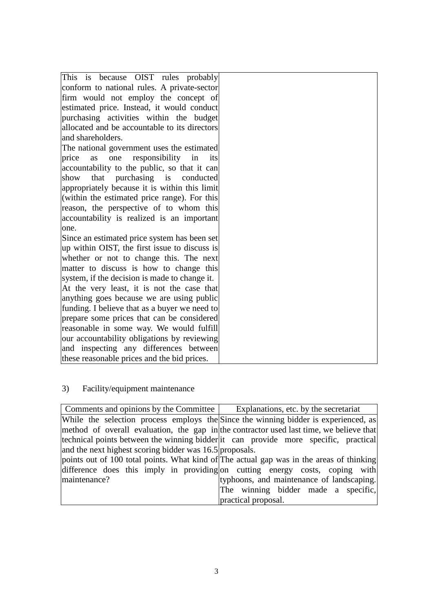| This is because OIST rules probably               |  |
|---------------------------------------------------|--|
| conform to national rules. A private-sector       |  |
| firm would not employ the concept of              |  |
| estimated price. Instead, it would conduct        |  |
| purchasing activities within the budget           |  |
| allocated and be accountable to its directors     |  |
| and shareholders.                                 |  |
| The national government uses the estimated        |  |
| responsibility<br>price<br>one<br>in<br>as<br>its |  |
| accountability to the public, so that it can      |  |
| that<br>purchasing is conducted<br>show           |  |
| appropriately because it is within this limit     |  |
| (within the estimated price range). For this      |  |
| reason, the perspective of to whom this           |  |
| accountability is realized is an important        |  |
| one.                                              |  |
| Since an estimated price system has been set      |  |
| up within OIST, the first issue to discuss is     |  |
| whether or not to change this. The next           |  |
| matter to discuss is how to change this           |  |
| system, if the decision is made to change it.     |  |
| At the very least, it is not the case that        |  |
| anything goes because we are using public         |  |
| funding. I believe that as a buyer we need to     |  |
| prepare some prices that can be considered        |  |
| reasonable in some way. We would fulfill          |  |
| our accountability obligations by reviewing       |  |
| and inspecting any differences between            |  |
| these reasonable prices and the bid prices.       |  |

# 3) Facility/equipment maintenance

| Comments and opinions by the Committee                  | Explanations, etc. by the secretariat                                                    |
|---------------------------------------------------------|------------------------------------------------------------------------------------------|
|                                                         | While the selection process employs the Since the winning bidder is experienced, as      |
|                                                         | method of overall evaluation, the gap in the contractor used last time, we believe that  |
|                                                         | technical points between the winning bidder it can provide more specific, practical      |
| and the next highest scoring bidder was 16.5 proposals. |                                                                                          |
|                                                         | points out of 100 total points. What kind of The actual gap was in the areas of thinking |
|                                                         | difference does this imply in providing on cutting energy costs, coping with             |
| maintenance?                                            | typhoons, and maintenance of landscaping.                                                |
|                                                         | The winning bidder made a specific,                                                      |
|                                                         | practical proposal.                                                                      |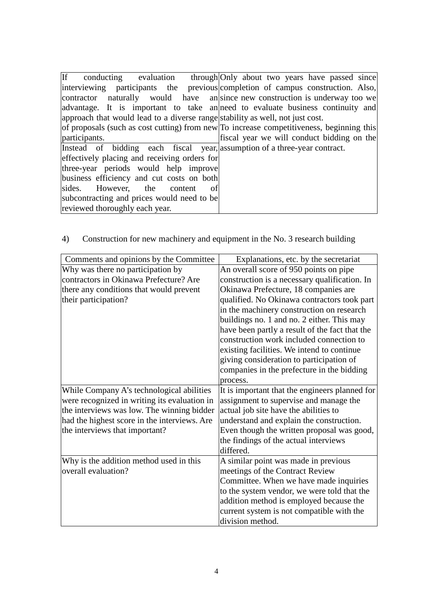|                                                                               | If conducting evaluation through Only about two years have passed since                              |
|-------------------------------------------------------------------------------|------------------------------------------------------------------------------------------------------|
|                                                                               | interviewing participants the previous completion of campus construction. Also,                      |
|                                                                               | contractor naturally would have ansince new construction is underway too we                          |
|                                                                               | advantage. It is important to take an need to evaluate business continuity and                       |
| approach that would lead to a diverse range stability as well, not just cost. |                                                                                                      |
|                                                                               | of proposals (such as cost cutting) from new $\overline{p}$ increase competitiveness, beginning this |
| participants.                                                                 | fiscal year we will conduct bidding on the                                                           |
| Instead of bidding each fiscal year, assumption of a three-year contract.     |                                                                                                      |
| effectively placing and receiving orders for                                  |                                                                                                      |
| three-year periods would help improve                                         |                                                                                                      |
| business efficiency and cut costs on both                                     |                                                                                                      |
| sides. However, the content<br>ofl                                            |                                                                                                      |
| subcontracting and prices would need to be                                    |                                                                                                      |
| reviewed thoroughly each year.                                                |                                                                                                      |

# 4) Construction for new machinery and equipment in the No. 3 research building

| Comments and opinions by the Committee       | Explanations, etc. by the secretariat          |
|----------------------------------------------|------------------------------------------------|
| Why was there no participation by            | An overall score of 950 points on pipe         |
| contractors in Okinawa Prefecture? Are       | construction is a necessary qualification. In  |
| there any conditions that would prevent      | Okinawa Prefecture, 18 companies are           |
| their participation?                         | qualified. No Okinawa contractors took part    |
|                                              | in the machinery construction on research      |
|                                              | buildings no. 1 and no. 2 either. This may     |
|                                              | have been partly a result of the fact that the |
|                                              | construction work included connection to       |
|                                              | existing facilities. We intend to continue     |
|                                              | giving consideration to participation of       |
|                                              | companies in the prefecture in the bidding     |
|                                              | process.                                       |
| While Company A's technological abilities    | It is important that the engineers planned for |
| were recognized in writing its evaluation in | assignment to supervise and manage the         |
| the interviews was low. The winning bidder   | actual job site have the abilities to          |
| had the highest score in the interviews. Are | understand and explain the construction.       |
| the interviews that important?               | Even though the written proposal was good,     |
|                                              | the findings of the actual interviews          |
|                                              | differed.                                      |
| Why is the addition method used in this      | A similar point was made in previous           |
| overall evaluation?                          | meetings of the Contract Review                |
|                                              | Committee. When we have made inquiries         |
|                                              | to the system vendor, we were told that the    |
|                                              | addition method is employed because the        |
|                                              | current system is not compatible with the      |
|                                              | division method.                               |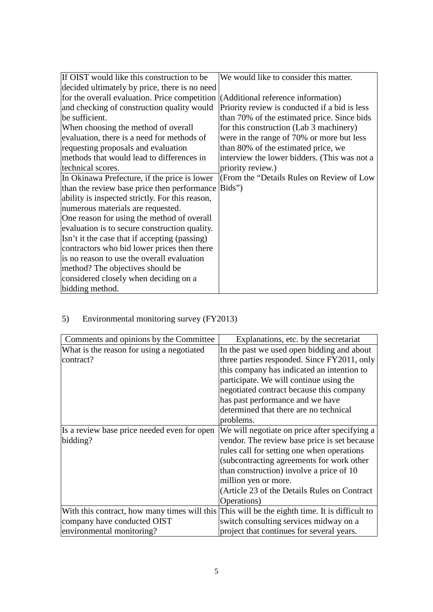| If OIST would like this construction to be      | We would like to consider this matter.        |
|-------------------------------------------------|-----------------------------------------------|
| decided ultimately by price, there is no need   |                                               |
| for the overall evaluation. Price competition   | (Additional reference information)            |
| and checking of construction quality would      | Priority review is conducted if a bid is less |
| be sufficient.                                  | than 70% of the estimated price. Since bids   |
| When choosing the method of overall             | for this construction (Lab 3 machinery)       |
| evaluation, there is a need for methods of      | were in the range of 70% or more but less     |
| requesting proposals and evaluation             | than 80% of the estimated price, we           |
| methods that would lead to differences in       | interview the lower bidders. (This was not a  |
| technical scores.                               | priority review.)                             |
| In Okinawa Prefecture, if the price is lower    | (From the "Details Rules on Review of Low     |
| than the review base price then performance     | Bids")                                        |
| ability is inspected strictly. For this reason, |                                               |
| numerous materials are requested.               |                                               |
| One reason for using the method of overall      |                                               |
| evaluation is to secure construction quality.   |                                               |
| Isn't it the case that if accepting (passing)   |                                               |
| contractors who bid lower prices then there     |                                               |
| is no reason to use the overall evaluation      |                                               |
| method? The objectives should be                |                                               |
| considered closely when deciding on a           |                                               |
| bidding method.                                 |                                               |

# 5) Environmental monitoring survey (FY2013)

| Comments and opinions by the Committee                                                        | Explanations, etc. by the secretariat         |
|-----------------------------------------------------------------------------------------------|-----------------------------------------------|
| What is the reason for using a negotiated                                                     | In the past we used open bidding and about    |
| contract?                                                                                     | three parties responded. Since FY2011, only   |
|                                                                                               | this company has indicated an intention to    |
|                                                                                               | participate. We will continue using the       |
|                                                                                               | negotiated contract because this company      |
|                                                                                               | has past performance and we have              |
|                                                                                               | determined that there are no technical        |
|                                                                                               | problems.                                     |
| Is a review base price needed even for open                                                   | We will negotiate on price after specifying a |
| bidding?                                                                                      | vendor. The review base price is set because  |
|                                                                                               | rules call for setting one when operations    |
|                                                                                               | (subcontracting agreements for work other     |
|                                                                                               | than construction) involve a price of 10      |
|                                                                                               | million yen or more.                          |
|                                                                                               | (Article 23 of the Details Rules on Contract  |
|                                                                                               | Operations)                                   |
| With this contract, how many times will this This will be the eighth time. It is difficult to |                                               |
| company have conducted OIST                                                                   | switch consulting services midway on a        |
| environmental monitoring?                                                                     | project that continues for several years.     |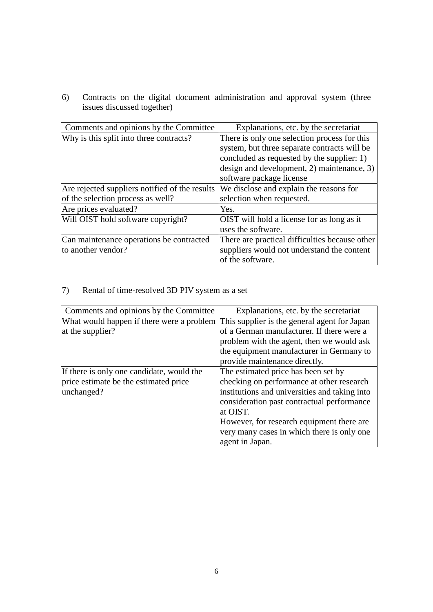6) Contracts on the digital document administration and approval system (three issues discussed together)

| Comments and opinions by the Committee         | Explanations, etc. by the secretariat          |
|------------------------------------------------|------------------------------------------------|
| Why is this split into three contracts?        | There is only one selection process for this   |
|                                                | system, but three separate contracts will be   |
|                                                | concluded as requested by the supplier: 1)     |
|                                                | design and development, 2) maintenance, 3)     |
|                                                | software package license                       |
| Are rejected suppliers notified of the results | We disclose and explain the reasons for        |
| of the selection process as well?              | selection when requested.                      |
| Are prices evaluated?                          | Yes.                                           |
| Will OIST hold software copyright?             | OIST will hold a license for as long as it     |
|                                                | uses the software.                             |
| Can maintenance operations be contracted       | There are practical difficulties because other |
| to another vendor?                             | suppliers would not understand the content     |
|                                                | of the software.                               |

### 7) Rental of time-resolved 3D PIV system as a set

| Comments and opinions by the Committee                                                 | Explanations, etc. by the secretariat         |
|----------------------------------------------------------------------------------------|-----------------------------------------------|
| What would happen if there were a problem This supplier is the general agent for Japan |                                               |
| at the supplier?                                                                       | of a German manufacturer. If there were a     |
|                                                                                        | problem with the agent, then we would ask     |
|                                                                                        | the equipment manufacturer in Germany to      |
|                                                                                        | provide maintenance directly.                 |
| If there is only one candidate, would the                                              | The estimated price has been set by           |
| price estimate be the estimated price                                                  | checking on performance at other research     |
| unchanged?                                                                             | institutions and universities and taking into |
|                                                                                        | consideration past contractual performance    |
|                                                                                        | at OIST.                                      |
|                                                                                        | However, for research equipment there are     |
|                                                                                        | very many cases in which there is only one    |
|                                                                                        | agent in Japan.                               |